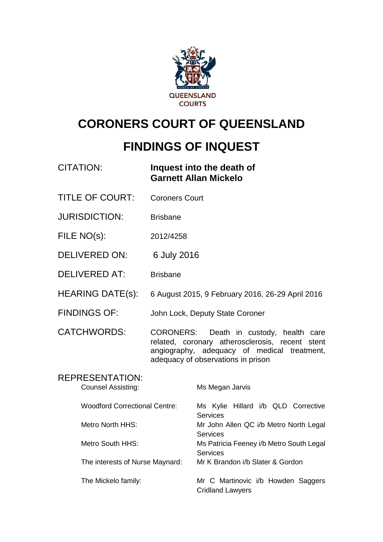

# **CORONERS COURT OF QUEENSLAND**

# **FINDINGS OF INQUEST**

## CITATION: **Inquest into the death of Garnett Allan Mickelo**

- TITLE OF COURT: Coroners Court
- JURISDICTION: Brisbane
- FILE NO(s): 2012/4258
- DELIVERED ON: 6 July 2016
- DELIVERED AT: Brisbane
- HEARING DATE(s): 6 August 2015, 9 February 2016, 26-29 April 2016
- FINDINGS OF: John Lock, Deputy State Coroner

CATCHWORDS: CORONERS: Death in custody, health care related, coronary atherosclerosis, recent stent angiography, adequacy of medical treatment, adequacy of observations in prison

## REPRESENTATION: Counsel Assisting: Ms Megan Jarvis Woodford Correctional Centre: Ms Kylie Hillard i/b QLD Corrective **Services** Metro North HHS: Mr John Allen QC i/b Metro North Legal **Services** Metro South HHS: Ms Patricia Feeney i/b Metro South Legal **Services** The interests of Nurse Maynard: Mr K Brandon i/b Slater & Gordon The Mickelo family: Mr C Martinovic i/b Howden Saggers Cridland Lawyers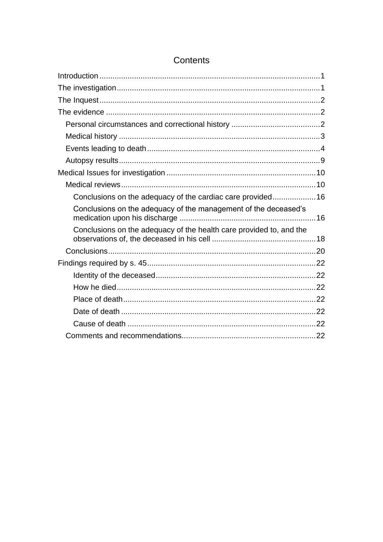| Conclusions on the adequacy of the cardiac care provided16          |  |
|---------------------------------------------------------------------|--|
| Conclusions on the adequacy of the management of the deceased's     |  |
| Conclusions on the adequacy of the health care provided to, and the |  |
|                                                                     |  |
|                                                                     |  |
|                                                                     |  |
|                                                                     |  |
|                                                                     |  |
|                                                                     |  |
|                                                                     |  |
|                                                                     |  |

### <span id="page-1-0"></span>Contents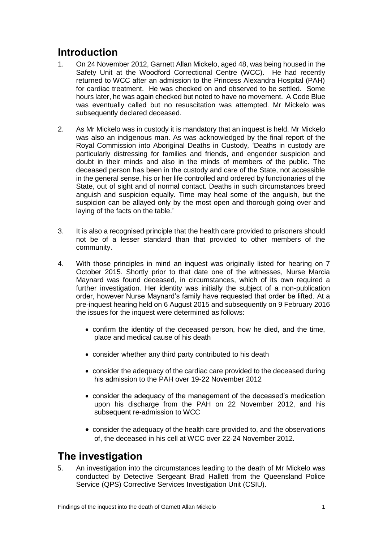## **Introduction**

- 1. On 24 November 2012, Garnett Allan Mickelo, aged 48, was being housed in the Safety Unit at the Woodford Correctional Centre (WCC). He had recently returned to WCC after an admission to the Princess Alexandra Hospital (PAH) for cardiac treatment. He was checked on and observed to be settled. Some hours later, he was again checked but noted to have no movement. A Code Blue was eventually called but no resuscitation was attempted. Mr Mickelo was subsequently declared deceased.
- 2. As Mr Mickelo was in custody it is mandatory that an inquest is held. Mr Mickelo was also an indigenous man. As was acknowledged by the final report of the Royal Commission into Aboriginal Deaths in Custody*,* 'Deaths in custody are particularly distressing for families and friends, and engender suspicion and doubt in their minds and also in the minds of members *of* the public. The deceased person has been in the custody and care of the State, not accessible in the general sense, his or her life controlled and ordered by functionaries of the State, out of sight and of normal contact. Deaths in such circumstances breed anguish and suspicion equally. Time may heal some of the anguish, but the suspicion can be allayed only by the most open and thorough going over and laying of the facts on the table.'
- 3. It is also a recognised principle that the health care provided to prisoners should not be of a lesser standard than that provided to other members of the community.
- 4. With those principles in mind an inquest was originally listed for hearing on 7 October 2015. Shortly prior to that date one of the witnesses, Nurse Marcia Maynard was found deceased, in circumstances, which of its own required a further investigation. Her identity was initially the subject of a non-publication order, however Nurse Maynard's family have requested that order be lifted. At a pre-inquest hearing held on 6 August 2015 and subsequently on 9 February 2016 the issues for the inquest were determined as follows:
	- confirm the identity of the deceased person, how he died, and the time, place and medical cause of his death
	- consider whether any third party contributed to his death
	- consider the adequacy of the cardiac care provided to the deceased during his admission to the PAH over 19-22 November 2012
	- consider the adequacy of the management of the deceased's medication upon his discharge from the PAH on 22 November 2012, and his subsequent re-admission to WCC
	- consider the adequacy of the health care provided to, and the observations of, the deceased in his cell at WCC over 22-24 November 2012.

## <span id="page-2-0"></span>**The investigation**

5. An investigation into the circumstances leading to the death of Mr Mickelo was conducted by Detective Sergeant Brad Hallett from the Queensland Police Service (QPS) Corrective Services Investigation Unit (CSIU).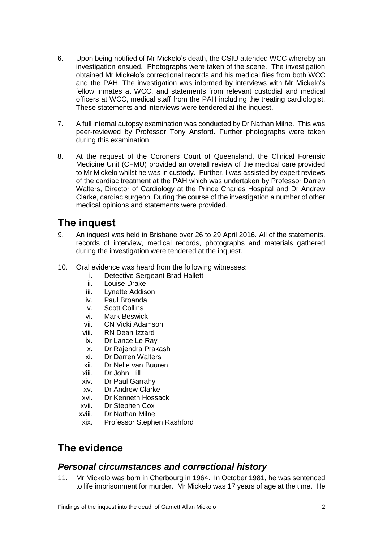- 6. Upon being notified of Mr Mickelo's death, the CSIU attended WCC whereby an investigation ensued. Photographs were taken of the scene. The investigation obtained Mr Mickelo's correctional records and his medical files from both WCC and the PAH. The investigation was informed by interviews with Mr Mickelo's fellow inmates at WCC, and statements from relevant custodial and medical officers at WCC, medical staff from the PAH including the treating cardiologist. These statements and interviews were tendered at the inquest.
- 7. A full internal autopsy examination was conducted by Dr Nathan Milne. This was peer-reviewed by Professor Tony Ansford. Further photographs were taken during this examination.
- 8. At the request of the Coroners Court of Queensland, the Clinical Forensic Medicine Unit (CFMU) provided an overall review of the medical care provided to Mr Mickelo whilst he was in custody. Further, I was assisted by expert reviews of the cardiac treatment at the PAH which was undertaken by Professor Darren Walters, Director of Cardiology at the Prince Charles Hospital and Dr Andrew Clarke, cardiac surgeon. During the course of the investigation a number of other medical opinions and statements were provided.

## <span id="page-3-0"></span>**The inquest**

- 9. An inquest was held in Brisbane over 26 to 29 April 2016. All of the statements, records of interview, medical records, photographs and materials gathered during the investigation were tendered at the inquest.
- 10. Oral evidence was heard from the following witnesses:
	- i. Detective Sergeant Brad Hallett
	- ii. Louise Drake<br>iii. Lynette Addis
	- Lynette Addison
	- iv. Paul Broanda
	- v. Scott Collins
	- vi. Mark Beswick
	- vii. CN Vicki Adamson
	- viii. RN Dean Izzard
	- ix. Dr Lance Le Ray
	- x. Dr Rajendra Prakash
	- xi. Dr Darren Walters
	- xii. Dr Nelle van Buuren
	- xiii. Dr John Hill
	- xiv. Dr Paul Garrahy
	- xv. Dr Andrew Clarke
	- xvi. Dr Kenneth Hossack
	- xvii. Dr Stephen Cox
	- xviii. Dr Nathan Milne
	- xix. Professor Stephen Rashford

## <span id="page-3-1"></span>**The evidence**

### <span id="page-3-2"></span>*Personal circumstances and correctional history*

11. Mr Mickelo was born in Cherbourg in 1964. In October 1981, he was sentenced to life imprisonment for murder. Mr Mickelo was 17 years of age at the time. He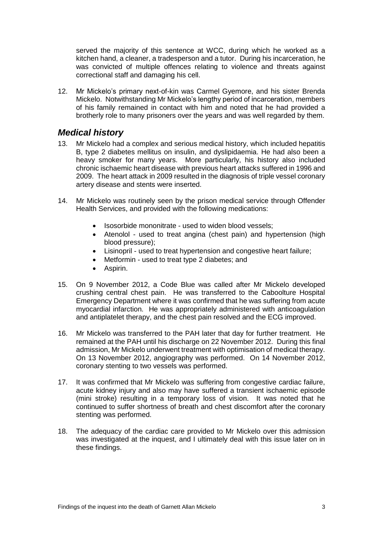served the majority of this sentence at WCC, during which he worked as a kitchen hand, a cleaner, a tradesperson and a tutor. During his incarceration, he was convicted of multiple offences relating to violence and threats against correctional staff and damaging his cell.

12. Mr Mickelo's primary next-of-kin was Carmel Gyemore, and his sister Brenda Mickelo. Notwithstanding Mr Mickelo's lengthy period of incarceration, members of his family remained in contact with him and noted that he had provided a brotherly role to many prisoners over the years and was well regarded by them.

### <span id="page-4-0"></span>*Medical history*

- 13. Mr Mickelo had a complex and serious medical history, which included hepatitis B, type 2 diabetes mellitus on insulin, and dyslipidaemia. He had also been a heavy smoker for many years. More particularly, his history also included chronic ischaemic heart disease with previous heart attacks suffered in 1996 and 2009. The heart attack in 2009 resulted in the diagnosis of triple vessel coronary artery disease and stents were inserted.
- 14. Mr Mickelo was routinely seen by the prison medical service through Offender Health Services, and provided with the following medications:
	- Isosorbide mononitrate used to widen blood vessels;
	- Atenolol used to treat angina (chest pain) and hypertension (high blood pressure);
	- Lisinopril used to treat hypertension and congestive heart failure;
	- Metformin used to treat type 2 diabetes; and
	- Aspirin.
- 15. On 9 November 2012, a Code Blue was called after Mr Mickelo developed crushing central chest pain. He was transferred to the Caboolture Hospital Emergency Department where it was confirmed that he was suffering from acute myocardial infarction. He was appropriately administered with anticoagulation and antiplatelet therapy, and the chest pain resolved and the ECG improved.
- 16. Mr Mickelo was transferred to the PAH later that day for further treatment. He remained at the PAH until his discharge on 22 November 2012. During this final admission, Mr Mickelo underwent treatment with optimisation of medical therapy. On 13 November 2012, angiography was performed. On 14 November 2012, coronary stenting to two vessels was performed.
- 17. It was confirmed that Mr Mickelo was suffering from congestive cardiac failure, acute kidney injury and also may have suffered a transient ischaemic episode (mini stroke) resulting in a temporary loss of vision. It was noted that he continued to suffer shortness of breath and chest discomfort after the coronary stenting was performed.
- 18. The adequacy of the cardiac care provided to Mr Mickelo over this admission was investigated at the inquest, and I ultimately deal with this issue later on in these findings.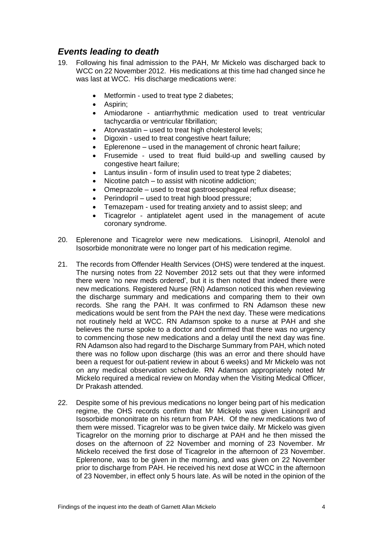### <span id="page-5-0"></span>*Events leading to death*

- 19. Following his final admission to the PAH, Mr Mickelo was discharged back to WCC on 22 November 2012. His medications at this time had changed since he was last at WCC. His discharge medications were:
	- Metformin used to treat type 2 diabetes;
	- Aspirin;
	- Amiodarone antiarrhythmic medication used to treat ventricular tachycardia or ventricular fibrillation;
	- Atorvastatin used to treat high cholesterol levels;
	- Digoxin used to treat congestive heart failure;
	- Eplerenone used in the management of chronic heart failure;
	- Frusemide used to treat fluid build-up and swelling caused by congestive heart failure;
	- Lantus insulin form of insulin used to treat type 2 diabetes;
	- Nicotine patch to assist with nicotine addiction:
	- Omeprazole used to treat gastroesophageal reflux disease;
	- Perindopril used to treat high blood pressure;
	- Temazepam used for treating anxiety and to assist sleep; and
	- Ticagrelor antiplatelet agent used in the management of acute coronary syndrome.
- 20. Eplerenone and Ticagrelor were new medications. Lisinopril, Atenolol and Isosorbide mononitrate were no longer part of his medication regime.
- 21. The records from Offender Health Services (OHS) were tendered at the inquest. The nursing notes from 22 November 2012 sets out that they were informed there were 'no new meds ordered', but it is then noted that indeed there were new medications. Registered Nurse (RN) Adamson noticed this when reviewing the discharge summary and medications and comparing them to their own records. She rang the PAH. It was confirmed to RN Adamson these new medications would be sent from the PAH the next day. These were medications not routinely held at WCC. RN Adamson spoke to a nurse at PAH and she believes the nurse spoke to a doctor and confirmed that there was no urgency to commencing those new medications and a delay until the next day was fine. RN Adamson also had regard to the Discharge Summary from PAH, which noted there was no follow upon discharge (this was an error and there should have been a request for out-patient review in about 6 weeks) and Mr Mickelo was not on any medical observation schedule. RN Adamson appropriately noted Mr Mickelo required a medical review on Monday when the Visiting Medical Officer, Dr Prakash attended.
- 22. Despite some of his previous medications no longer being part of his medication regime, the OHS records confirm that Mr Mickelo was given Lisinopril and Isosorbide mononitrate on his return from PAH. Of the new medications two of them were missed. Ticagrelor was to be given twice daily. Mr Mickelo was given Ticagrelor on the morning prior to discharge at PAH and he then missed the doses on the afternoon of 22 November and morning of 23 November. Mr Mickelo received the first dose of Ticagrelor in the afternoon of 23 November. Eplerenone, was to be given in the morning, and was given on 22 November prior to discharge from PAH. He received his next dose at WCC in the afternoon of 23 November, in effect only 5 hours late. As will be noted in the opinion of the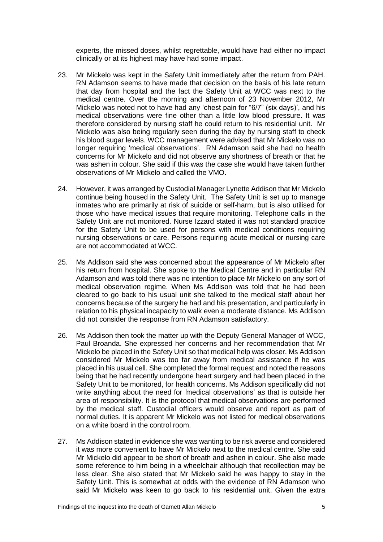experts, the missed doses, whilst regrettable, would have had either no impact clinically or at its highest may have had some impact.

- 23. Mr Mickelo was kept in the Safety Unit immediately after the return from PAH. RN Adamson seems to have made that decision on the basis of his late return that day from hospital and the fact the Safety Unit at WCC was next to the medical centre. Over the morning and afternoon of 23 November 2012, Mr Mickelo was noted not to have had any 'chest pain for "6/7" (six days)', and his medical observations were fine other than a little low blood pressure. It was therefore considered by nursing staff he could return to his residential unit. Mr Mickelo was also being regularly seen during the day by nursing staff to check his blood sugar levels. WCC management were advised that Mr Mickelo was no longer requiring 'medical observations'. RN Adamson said she had no health concerns for Mr Mickelo and did not observe any shortness of breath or that he was ashen in colour. She said if this was the case she would have taken further observations of Mr Mickelo and called the VMO.
- 24. However, it was arranged by Custodial Manager Lynette Addison that Mr Mickelo continue being housed in the Safety Unit. The Safety Unit is set up to manage inmates who are primarily at risk of suicide or self-harm, but is also utilised for those who have medical issues that require monitoring. Telephone calls in the Safety Unit are not monitored. Nurse Izzard stated it was not standard practice for the Safety Unit to be used for persons with medical conditions requiring nursing observations or care. Persons requiring acute medical or nursing care are not accommodated at WCC.
- 25. Ms Addison said she was concerned about the appearance of Mr Mickelo after his return from hospital. She spoke to the Medical Centre and in particular RN Adamson and was told there was no intention to place Mr Mickelo on any sort of medical observation regime. When Ms Addison was told that he had been cleared to go back to his usual unit she talked to the medical staff about her concerns because of the surgery he had and his presentation, and particularly in relation to his physical incapacity to walk even a moderate distance. Ms Addison did not consider the response from RN Adamson satisfactory.
- 26. Ms Addison then took the matter up with the Deputy General Manager of WCC, Paul Broanda. She expressed her concerns and her recommendation that Mr Mickelo be placed in the Safety Unit so that medical help was closer. Ms Addison considered Mr Mickelo was too far away from medical assistance if he was placed in his usual cell. She completed the formal request and noted the reasons being that he had recently undergone heart surgery and had been placed in the Safety Unit to be monitored, for health concerns. Ms Addison specifically did not write anything about the need for *'*medical observations' as that is outside her area of responsibility. It is the protocol that medical observations are performed by the medical staff. Custodial officers would observe and report as part of normal duties. It is apparent Mr Mickelo was not listed for medical observations on a white board in the control room.
- 27. Ms Addison stated in evidence she was wanting to be risk averse and considered it was more convenient to have Mr Mickelo next to the medical centre. She said Mr Mickelo did appear to be short of breath and ashen in colour. She also made some reference to him being in a wheelchair although that recollection may be less clear. She also stated that Mr Mickelo said he was happy to stay in the Safety Unit. This is somewhat at odds with the evidence of RN Adamson who said Mr Mickelo was keen to go back to his residential unit. Given the extra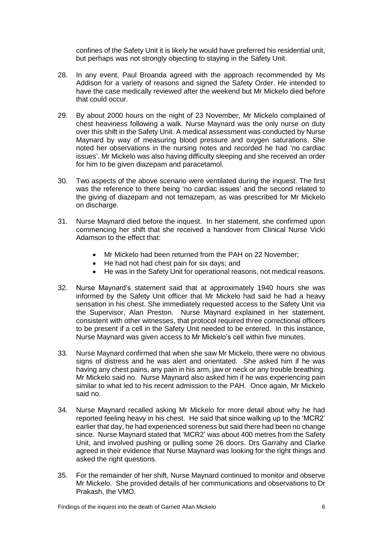confines of the Safety Unit it is likely he would have preferred his residential unit, but perhaps was not strongly objecting to staying in the Safety Unit.

- 28. In any event, Paul Broanda agreed with the approach recommended by Ms Addison for a variety of reasons and signed the Safety Order. He intended to have the case medically reviewed after the weekend but Mr Mickelo died before that could occur.
- 29. By about 2000 hours on the night of 23 November, Mr Mickelo complained of chest heaviness following a walk. Nurse Maynard was the only nurse on duty over this shift in the Safety Unit. A medical assessment was conducted by Nurse Maynard by way of measuring blood pressure and oxygen saturations. She noted her observations in the nursing notes and recorded he had 'no cardiac issues'. Mr Mickelo was also having difficulty sleeping and she received an order for him to be given diazepam and paracetamol.
- 30. Two aspects of the above scenario were ventilated during the inquest. The first was the reference to there being 'no cardiac issues' and the second related to the giving of diazepam and not temazepam, as was prescribed for Mr Mickelo on discharge.
- 31. Nurse Maynard died before the inquest. In her statement, she confirmed upon commencing her shift that she received a handover from Clinical Nurse Vicki Adamson to the effect that:
	- Mr Mickelo had been returned from the PAH on 22 November;
	- He had not had chest pain for six days; and
	- He was in the Safety Unit for operational reasons, not medical reasons.
- 32. Nurse Maynard's statement said that at approximately 1940 hours she was informed by the Safety Unit officer that Mr Mickelo had said he had a heavy sensation in his chest. She immediately requested access to the Safety Unit via the Supervisor, Alan Preston. Nurse Maynard explained in her statement, consistent with other witnesses, that protocol required three correctional officers to be present if a cell in the Safety Unit needed to be entered. In this instance, Nurse Maynard was given access to Mr Mickelo's cell within five minutes.
- 33. Nurse Maynard confirmed that when she saw Mr Mickelo, there were no obvious signs of distress and he was alert and orientated. She asked him if he was having any chest pains, any pain in his arm, jaw or neck or any trouble breathing. Mr Mickelo said no. Nurse Maynard also asked him if he was experiencing pain similar to what led to his recent admission to the PAH. Once again, Mr Mickelo said no.
- 34. Nurse Maynard recalled asking Mr Mickelo for more detail about why he had reported feeling heavy in his chest. He said that since walking up to the 'MCR2' earlier that day, he had experienced soreness but said there had been no change since. Nurse Maynard stated that 'MCR2' was about 400 metres from the Safety Unit, and involved pushing or pulling some 26 doors. Drs Garrahy and Clarke agreed in their evidence that Nurse Maynard was looking for the right things and asked the right questions.
- 35. For the remainder of her shift, Nurse Maynard continued to monitor and observe Mr Mickelo. She provided details of her communications and observations to Dr Prakash, the VMO.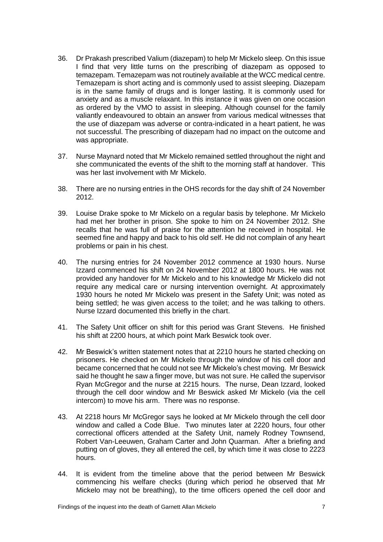- 36. Dr Prakash prescribed Valium (diazepam) to help Mr Mickelo sleep. On this issue I find that very little turns on the prescribing of diazepam as opposed to temazepam. Temazepam was not routinely available at the WCC medical centre. Temazepam is short acting and is commonly used to assist sleeping. Diazepam is in the same family of drugs and is longer lasting. It is commonly used for anxiety and as a muscle relaxant. In this instance it was given on one occasion as ordered by the VMO to assist in sleeping. Although counsel for the family valiantly endeavoured to obtain an answer from various medical witnesses that the use of diazepam was adverse or contra-indicated in a heart patient, he was not successful. The prescribing of diazepam had no impact on the outcome and was appropriate.
- 37. Nurse Maynard noted that Mr Mickelo remained settled throughout the night and she communicated the events of the shift to the morning staff at handover. This was her last involvement with Mr Mickelo.
- 38. There are no nursing entries in the OHS records for the day shift of 24 November 2012.
- 39. Louise Drake spoke to Mr Mickelo on a regular basis by telephone. Mr Mickelo had met her brother in prison. She spoke to him on 24 November 2012. She recalls that he was full of praise for the attention he received in hospital. He seemed fine and happy and back to his old self. He did not complain of any heart problems or pain in his chest.
- 40. The nursing entries for 24 November 2012 commence at 1930 hours. Nurse Izzard commenced his shift on 24 November 2012 at 1800 hours. He was not provided any handover for Mr Mickelo and to his knowledge Mr Mickelo did not require any medical care or nursing intervention overnight. At approximately 1930 hours he noted Mr Mickelo was present in the Safety Unit; was noted as being settled; he was given access to the toilet; and he was talking to others. Nurse Izzard documented this briefly in the chart.
- 41. The Safety Unit officer on shift for this period was Grant Stevens. He finished his shift at 2200 hours, at which point Mark Beswick took over.
- 42. Mr Beswick's written statement notes that at 2210 hours he started checking on prisoners. He checked on Mr Mickelo through the window of his cell door and became concerned that he could not see Mr Mickelo's chest moving. Mr Beswick said he thought he saw a finger move, but was not sure. He called the supervisor Ryan McGregor and the nurse at 2215 hours. The nurse, Dean Izzard, looked through the cell door window and Mr Beswick asked Mr Mickelo (via the cell intercom) to move his arm. There was no response.
- 43. At 2218 hours Mr McGregor says he looked at Mr Mickelo through the cell door window and called a Code Blue. Two minutes later at 2220 hours, four other correctional officers attended at the Safety Unit, namely Rodney Townsend, Robert Van-Leeuwen, Graham Carter and John Quarman. After a briefing and putting on of gloves, they all entered the cell, by which time it was close to 2223 hours.
- 44. It is evident from the timeline above that the period between Mr Beswick commencing his welfare checks (during which period he observed that Mr Mickelo may not be breathing), to the time officers opened the cell door and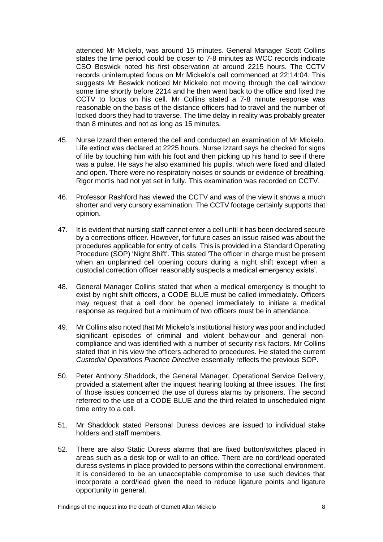attended Mr Mickelo, was around 15 minutes. General Manager Scott Collins states the time period could be closer to 7-8 minutes as WCC records indicate CSO Beswick noted his first observation at around 2215 hours. The CCTV records uninterrupted focus on Mr Mickelo's cell commenced at 22:14:04. This suggests Mr Beswick noticed Mr Mickelo not moving through the cell window some time shortly before 2214 and he then went back to the office and fixed the CCTV to focus on his cell. Mr Collins stated a 7-8 minute response was reasonable on the basis of the distance officers had to travel and the number of locked doors they had to traverse. The time delay in reality was probably greater than 8 minutes and not as long as 15 minutes.

- 45. Nurse Izzard then entered the cell and conducted an examination of Mr Mickelo. Life extinct was declared at 2225 hours. Nurse Izzard says he checked for signs of life by touching him with his foot and then picking up his hand to see if there was a pulse. He says he also examined his pupils, which were fixed and dilated and open. There were no respiratory noises or sounds or evidence of breathing. Rigor mortis had not yet set in fully. This examination was recorded on CCTV.
- 46. Professor Rashford has viewed the CCTV and was of the view it shows a much shorter and very cursory examination. The CCTV footage certainly supports that opinion.
- 47. It is evident that nursing staff cannot enter a cell until it has been declared secure by a corrections officer. However, for future cases an issue raised was about the procedures applicable for entry of cells. This is provided in a Standard Operating Procedure (SOP) 'Night Shift'. This stated 'The officer in charge must be present when an unplanned cell opening occurs during a night shift except when a custodial correction officer reasonably suspects a medical emergency exists'*.*
- 48. General Manager Collins stated that when a medical emergency is thought to exist by night shift officers, a CODE BLUE must be called immediately. Officers may request that a cell door be opened immediately to initiate a medical response as required but a minimum of two officers must be in attendance.
- 49. Mr Collins also noted that Mr Mickelo's institutional history was poor and included significant episodes of criminal and violent behaviour and general noncompliance and was identified with a number of security risk factors. Mr Collins stated that in his view the officers adhered to procedures. He stated the current *Custodial Operations Practice Directive* essentially reflects the previous SOP.
- 50. Peter Anthony Shaddock, the General Manager, Operational Service Delivery, provided a statement after the inquest hearing looking at three issues. The first of those issues concerned the use of duress alarms by prisoners. The second referred to the use of a CODE BLUE and the third related to unscheduled night time entry to a cell.
- 51. Mr Shaddock stated Personal Duress devices are issued to individual stake holders and staff members.
- 52. There are also Static Duress alarms that are fixed button/switches placed in areas such as a desk top or wall to an office. There are no cord/lead operated duress systems in place provided to persons within the correctional environment. It is considered to be an unacceptable compromise to use such devices that incorporate a cord/lead given the need to reduce ligature points and ligature opportunity in general.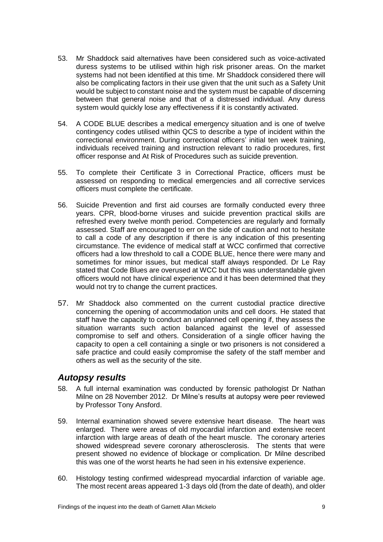- 53. Mr Shaddock said alternatives have been considered such as voice-activated duress systems to be utilised within high risk prisoner areas. On the market systems had not been identified at this time. Mr Shaddock considered there will also be complicating factors in their use given that the unit such as a Safety Unit would be subject to constant noise and the system must be capable of discerning between that general noise and that of a distressed individual. Any duress system would quickly lose any effectiveness if it is constantly activated.
- 54. A CODE BLUE describes a medical emergency situation and is one of twelve contingency codes utilised within QCS to describe a type of incident within the correctional environment. During correctional officers' initial ten week training, individuals received training and instruction relevant to radio procedures, first officer response and At Risk of Procedures such as suicide prevention.
- 55. To complete their Certificate 3 in Correctional Practice, officers must be assessed on responding to medical emergencies and all corrective services officers must complete the certificate.
- 56. Suicide Prevention and first aid courses are formally conducted every three years. CPR, blood-borne viruses and suicide prevention practical skills are refreshed every twelve month period. Competencies are regularly and formally assessed. Staff are encouraged to err on the side of caution and not to hesitate to call a code of any description if there is any indication of this presenting circumstance. The evidence of medical staff at WCC confirmed that corrective officers had a low threshold to call a CODE BLUE, hence there were many and sometimes for minor issues, but medical staff always responded. Dr Le Ray stated that Code Blues are overused at WCC but this was understandable given officers would not have clinical experience and it has been determined that they would not try to change the current practices.
- 57. Mr Shaddock also commented on the current custodial practice directive concerning the opening of accommodation units and cell doors. He stated that staff have the capacity to conduct an unplanned cell opening if, they assess the situation warrants such action balanced against the level of assessed compromise to self and others. Consideration of a single officer having the capacity to open a cell containing a single or two prisoners is not considered a safe practice and could easily compromise the safety of the staff member and others as well as the security of the site.

#### <span id="page-10-0"></span>*Autopsy results*

- 58. A full internal examination was conducted by forensic pathologist Dr Nathan Milne on 28 November 2012. Dr Milne's results at autopsy were peer reviewed by Professor Tony Ansford.
- 59. Internal examination showed severe extensive heart disease. The heart was enlarged. There were areas of old myocardial infarction and extensive recent infarction with large areas of death of the heart muscle. The coronary arteries showed widespread severe coronary atherosclerosis. The stents that were present showed no evidence of blockage or complication. Dr Milne described this was one of the worst hearts he had seen in his extensive experience.
- 60. Histology testing confirmed widespread myocardial infarction of variable age. The most recent areas appeared 1-3 days old (from the date of death), and older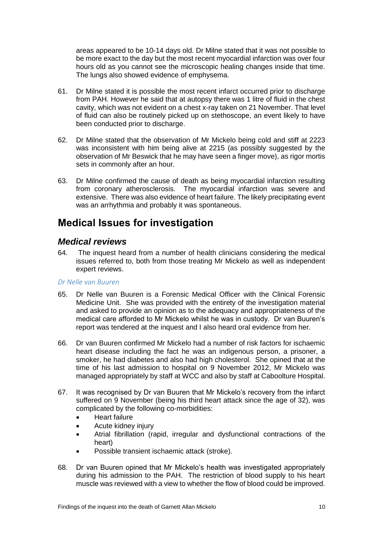areas appeared to be 10-14 days old. Dr Milne stated that it was not possible to be more exact to the day but the most recent myocardial infarction was over four hours old as you cannot see the microscopic healing changes inside that time. The lungs also showed evidence of emphysema.

- 61. Dr Milne stated it is possible the most recent infarct occurred prior to discharge from PAH. However he said that at autopsy there was 1 litre of fluid in the chest cavity, which was not evident on a chest x-ray taken on 21 November. That level of fluid can also be routinely picked up on stethoscope, an event likely to have been conducted prior to discharge.
- 62. Dr Milne stated that the observation of Mr Mickelo being cold and stiff at 2223 was inconsistent with him being alive at 2215 (as possibly suggested by the observation of Mr Beswick that he may have seen a finger move), as rigor mortis sets in commonly after an hour.
- 63. Dr Milne confirmed the cause of death as being myocardial infarction resulting from coronary atherosclerosis. The myocardial infarction was severe and extensive. There was also evidence of heart failure. The likely precipitating event was an arrhythmia and probably it was spontaneous.

## <span id="page-11-0"></span>**Medical Issues for investigation**

### <span id="page-11-1"></span>*Medical reviews*

64. The inquest heard from a number of health clinicians considering the medical issues referred to, both from those treating Mr Mickelo as well as independent expert reviews.

#### *Dr Nelle van Buuren*

- 65. Dr Nelle van Buuren is a Forensic Medical Officer with the Clinical Forensic Medicine Unit. She was provided with the entirety of the investigation material and asked to provide an opinion as to the adequacy and appropriateness of the medical care afforded to Mr Mickelo whilst he was in custody. Dr van Buuren's report was tendered at the inquest and I also heard oral evidence from her.
- 66. Dr van Buuren confirmed Mr Mickelo had a number of risk factors for ischaemic heart disease including the fact he was an indigenous person, a prisoner, a smoker, he had diabetes and also had high cholesterol. She opined that at the time of his last admission to hospital on 9 November 2012, Mr Mickelo was managed appropriately by staff at WCC and also by staff at Caboolture Hospital.
- 67. It was recognised by Dr van Buuren that Mr Mickelo's recovery from the infarct suffered on 9 November (being his third heart attack since the age of 32), was complicated by the following co-morbidities:
	- Heart failure
	- Acute kidney injury
	- Atrial fibrillation (rapid, irregular and dysfunctional contractions of the heart)
	- Possible transient ischaemic attack (stroke).
- 68. Dr van Buuren opined that Mr Mickelo's health was investigated appropriately during his admission to the PAH. The restriction of blood supply to his heart muscle was reviewed with a view to whether the flow of blood could be improved.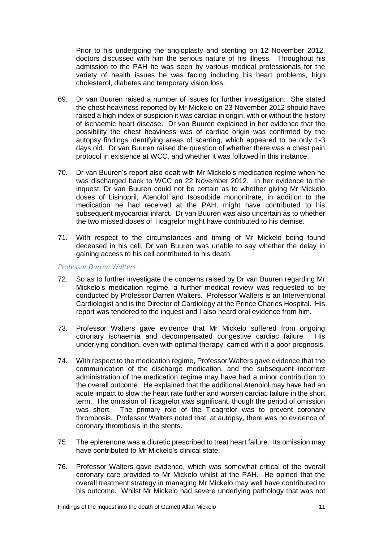Prior to his undergoing the angioplasty and stenting on 12 November 2012, doctors discussed with him the serious nature of his illness. Throughout his admission to the PAH he was seen by various medical professionals for the variety of health issues he was facing including his heart problems, high cholesterol, diabetes and temporary vision loss.

- 69. Dr van Buuren raised a number of issues for further investigation. She stated the chest heaviness reported by Mr Mickelo on 23 November 2012 should have raised a high index of suspicion it was cardiac in origin, with or without the history of ischaemic heart disease. Dr van Buuren explained in her evidence that the possibility the chest heaviness was of cardiac origin was confirmed by the autopsy findings identifying areas of scarring, which appeared to be only 1-3 days old. Dr van Buuren raised the question of whether there was a chest pain protocol in existence at WCC, and whether it was followed in this instance.
- 70. Dr van Buuren's report also dealt with Mr Mickelo's medication regime when he was discharged back to WCC on 22 November 2012. In her evidence to the inquest, Dr van Buuren could not be certain as to whether giving Mr Mickelo doses of Lisinopril, Atenolol and Isosorbide mononitrate, in addition to the medication he had received at the PAH, might have contributed to his subsequent myocardial infarct. Dr van Buuren was also uncertain as to whether the two missed doses of Ticagrelor might have contributed to his demise.
- 71. With respect to the circumstances and timing of Mr Mickelo being found deceased in his cell, Dr van Buuren was unable to say whether the delay in gaining access to his cell contributed to his death.

#### *Professor Darren Walters*

- 72. So as to further investigate the concerns raised by Dr van Buuren regarding Mr Mickelo's medication regime, a further medical review was requested to be conducted by Professor Darren Walters. Professor Walters is an Interventional Cardiologist and is the Director of Cardiology at the Prince Charles Hospital. His report was tendered to the inquest and I also heard oral evidence from him.
- 73. Professor Walters gave evidence that Mr Mickelo suffered from ongoing coronary ischaemia and decompensated congestive cardiac failure. His underlying condition, even with optimal therapy, carried with it a poor prognosis.
- 74. With respect to the medication regime, Professor Walters gave evidence that the communication of the discharge medication, and the subsequent incorrect administration of the medication regime may have had a minor contribution to the overall outcome. He explained that the additional Atenolol may have had an acute impact to slow the heart rate further and worsen cardiac failure in the short term. The omission of Ticagrelor was significant, though the period of omission was short. The primary role of the Ticagrelor was to prevent coronary thrombosis. Professor Walters noted that, at autopsy, there was no evidence of coronary thrombosis in the stents.
- 75. The eplerenone was a diuretic prescribed to treat heart failure. Its omission may have contributed to Mr Mickelo's clinical state.
- 76. Professor Walters gave evidence, which was somewhat critical of the overall coronary care provided to Mr Mickelo whilst at the PAH. He opined that the overall treatment strategy in managing Mr Mickelo may well have contributed to his outcome. Whilst Mr Mickelo had severe underlying pathology that was not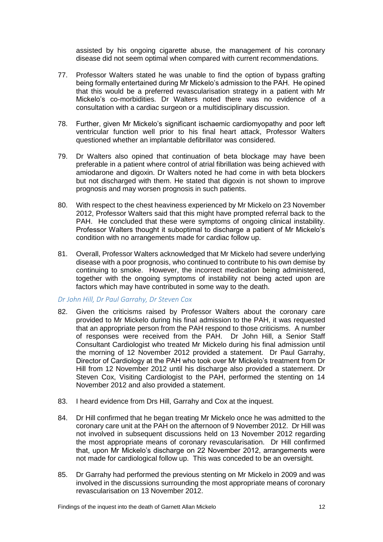assisted by his ongoing cigarette abuse, the management of his coronary disease did not seem optimal when compared with current recommendations.

- 77. Professor Walters stated he was unable to find the option of bypass grafting being formally entertained during Mr Mickelo's admission to the PAH. He opined that this would be a preferred revascularisation strategy in a patient with Mr Mickelo's co-morbidities. Dr Walters noted there was no evidence of a consultation with a cardiac surgeon or a multidisciplinary discussion.
- 78. Further, given Mr Mickelo's significant ischaemic cardiomyopathy and poor left ventricular function well prior to his final heart attack, Professor Walters questioned whether an implantable defibrillator was considered.
- 79. Dr Walters also opined that continuation of beta blockage may have been preferable in a patient where control of atrial fibrillation was being achieved with amiodarone and digoxin. Dr Walters noted he had come in with beta blockers but not discharged with them. He stated that digoxin is not shown to improve prognosis and may worsen prognosis in such patients.
- 80. With respect to the chest heaviness experienced by Mr Mickelo on 23 November 2012, Professor Walters said that this might have prompted referral back to the PAH. He concluded that these were symptoms of ongoing clinical instability. Professor Walters thought it suboptimal to discharge a patient of Mr Mickelo's condition with no arrangements made for cardiac follow up.
- 81. Overall, Professor Walters acknowledged that Mr Mickelo had severe underlying disease with a poor prognosis, who continued to contribute to his own demise by continuing to smoke. However, the incorrect medication being administered, together with the ongoing symptoms of instability not being acted upon are factors which may have contributed in some way to the death.

#### *Dr John Hill, Dr Paul Garrahy, Dr Steven Cox*

- 82. Given the criticisms raised by Professor Walters about the coronary care provided to Mr Mickelo during his final admission to the PAH, it was requested that an appropriate person from the PAH respond to those criticisms. A number of responses were received from the PAH. Dr John Hill, a Senior Staff Consultant Cardiologist who treated Mr Mickelo during his final admission until the morning of 12 November 2012 provided a statement. Dr Paul Garrahy, Director of Cardiology at the PAH who took over Mr Mickelo's treatment from Dr Hill from 12 November 2012 until his discharge also provided a statement. Dr Steven Cox, Visiting Cardiologist to the PAH, performed the stenting on 14 November 2012 and also provided a statement.
- 83. I heard evidence from Drs Hill, Garrahy and Cox at the inquest.
- 84. Dr Hill confirmed that he began treating Mr Mickelo once he was admitted to the coronary care unit at the PAH on the afternoon of 9 November 2012. Dr Hill was not involved in subsequent discussions held on 13 November 2012 regarding the most appropriate means of coronary revascularisation. Dr Hill confirmed that, upon Mr Mickelo's discharge on 22 November 2012, arrangements were not made for cardiological follow up. This was conceded to be an oversight.
- 85. Dr Garrahy had performed the previous stenting on Mr Mickelo in 2009 and was involved in the discussions surrounding the most appropriate means of coronary revascularisation on 13 November 2012.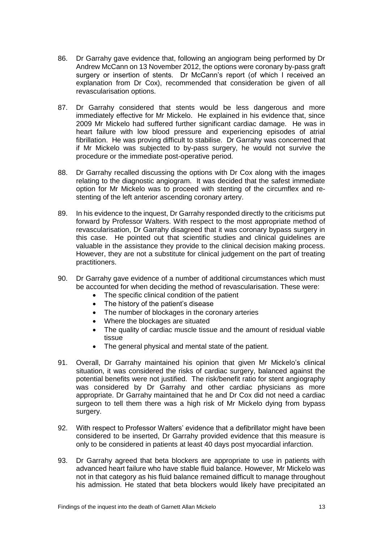- 86. Dr Garrahy gave evidence that, following an angiogram being performed by Dr Andrew McCann on 13 November 2012, the options were coronary by-pass graft surgery or insertion of stents. Dr McCann's report (of which I received an explanation from Dr Cox), recommended that consideration be given of all revascularisation options.
- 87. Dr Garrahy considered that stents would be less dangerous and more immediately effective for Mr Mickelo. He explained in his evidence that, since 2009 Mr Mickelo had suffered further significant cardiac damage. He was in heart failure with low blood pressure and experiencing episodes of atrial fibrillation. He was proving difficult to stabilise. Dr Garrahy was concerned that if Mr Mickelo was subjected to by-pass surgery, he would not survive the procedure or the immediate post-operative period.
- 88. Dr Garrahy recalled discussing the options with Dr Cox along with the images relating to the diagnostic angiogram. It was decided that the safest immediate option for Mr Mickelo was to proceed with stenting of the circumflex and restenting of the left anterior ascending coronary artery.
- 89. In his evidence to the inquest, Dr Garrahy responded directly to the criticisms put forward by Professor Walters. With respect to the most appropriate method of revascularisation, Dr Garrahy disagreed that it was coronary bypass surgery in this case. He pointed out that scientific studies and clinical guidelines are valuable in the assistance they provide to the clinical decision making process. However, they are not a substitute for clinical judgement on the part of treating practitioners.
- 90. Dr Garrahy gave evidence of a number of additional circumstances which must be accounted for when deciding the method of revascularisation. These were:
	- The specific clinical condition of the patient
	- The history of the patient's disease
	- The number of blockages in the coronary arteries
	- Where the blockages are situated
	- The quality of cardiac muscle tissue and the amount of residual viable tissue
	- The general physical and mental state of the patient.
- 91. Overall, Dr Garrahy maintained his opinion that given Mr Mickelo's clinical situation, it was considered the risks of cardiac surgery, balanced against the potential benefits were not justified. The risk/benefit ratio for stent angiography was considered by Dr Garrahy and other cardiac physicians as more appropriate. Dr Garrahy maintained that he and Dr Cox did not need a cardiac surgeon to tell them there was a high risk of Mr Mickelo dying from bypass surgery.
- 92. With respect to Professor Walters' evidence that a defibrillator might have been considered to be inserted, Dr Garrahy provided evidence that this measure is only to be considered in patients at least 40 days post myocardial infarction.
- 93. Dr Garrahy agreed that beta blockers are appropriate to use in patients with advanced heart failure who have stable fluid balance. However, Mr Mickelo was not in that category as his fluid balance remained difficult to manage throughout his admission. He stated that beta blockers would likely have precipitated an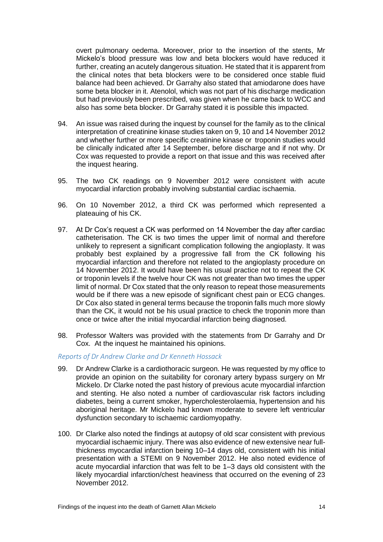overt pulmonary oedema. Moreover, prior to the insertion of the stents, Mr Mickelo's blood pressure was low and beta blockers would have reduced it further, creating an acutely dangerous situation. He stated that it is apparent from the clinical notes that beta blockers were to be considered once stable fluid balance had been achieved. Dr Garrahy also stated that amiodarone does have some beta blocker in it. Atenolol, which was not part of his discharge medication but had previously been prescribed, was given when he came back to WCC and also has some beta blocker. Dr Garrahy stated it is possible this impacted.

- 94. An issue was raised during the inquest by counsel for the family as to the clinical interpretation of creatinine kinase studies taken on 9, 10 and 14 November 2012 and whether further or more specific creatinine kinase or troponin studies would be clinically indicated after 14 September, before discharge and if not why. Dr Cox was requested to provide a report on that issue and this was received after the inquest hearing.
- 95. The two CK readings on 9 November 2012 were consistent with acute myocardial infarction probably involving substantial cardiac ischaemia.
- 96. On 10 November 2012, a third CK was performed which represented a plateauing of his CK.
- 97. At Dr Cox's request a CK was performed on 14 November the day after cardiac catheterisation. The CK is two times the upper limit of normal and therefore unlikely to represent a significant complication following the angioplasty. It was probably best explained by a progressive fall from the CK following his myocardial infarction and therefore not related to the angioplasty procedure on 14 November 2012. It would have been his usual practice not to repeat the CK or troponin levels if the twelve hour CK was not greater than two times the upper limit of normal. Dr Cox stated that the only reason to repeat those measurements would be if there was a new episode of significant chest pain or ECG changes. Dr Cox also stated in general terms because the troponin falls much more slowly than the CK, it would not be his usual practice to check the troponin more than once or twice after the initial myocardial infarction being diagnosed.
- 98. Professor Walters was provided with the statements from Dr Garrahy and Dr Cox. At the inquest he maintained his opinions.

#### *Reports of Dr Andrew Clarke and Dr Kenneth Hossack*

- 99. Dr Andrew Clarke is a cardiothoracic surgeon. He was requested by my office to provide an opinion on the suitability for coronary artery bypass surgery on Mr Mickelo. Dr Clarke noted the past history of previous acute myocardial infarction and stenting. He also noted a number of cardiovascular risk factors including diabetes, being a current smoker, hypercholesterolaemia, hypertension and his aboriginal heritage. Mr Mickelo had known moderate to severe left ventricular dysfunction secondary to ischaemic cardiomyopathy.
- 100. Dr Clarke also noted the findings at autopsy of old scar consistent with previous myocardial ischaemic injury. There was also evidence of new extensive near fullthickness myocardial infarction being 10–14 days old, consistent with his initial presentation with a STEMI on 9 November 2012. He also noted evidence of acute myocardial infarction that was felt to be 1–3 days old consistent with the likely myocardial infarction/chest heaviness that occurred on the evening of 23 November 2012.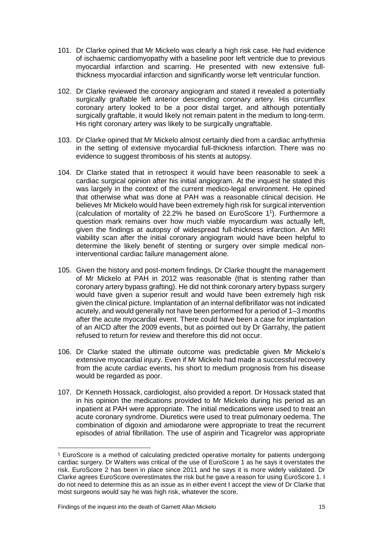- 101. Dr Clarke opined that Mr Mickelo was clearly a high risk case. He had evidence of ischaemic cardiomyopathy with a baseline poor left ventricle due to previous myocardial infarction and scarring. He presented with new extensive fullthickness myocardial infarction and significantly worse left ventricular function.
- 102. Dr Clarke reviewed the coronary angiogram and stated it revealed a potentially surgically graftable left anterior descending coronary artery. His circumflex coronary artery looked to be a poor distal target, and although potentially surgically graftable, it would likely not remain patent in the medium to long-term. His right coronary artery was likely to be surgically ungraftable.
- 103. Dr Clarke opined that Mr Mickelo almost certainly died from a cardiac arrhythmia in the setting of extensive myocardial full-thickness infarction. There was no evidence to suggest thrombosis of his stents at autopsy.
- 104. Dr Clarke stated that in retrospect it would have been reasonable to seek a cardiac surgical opinion after his initial angiogram. At the inquest he stated this was largely in the context of the current medico-legal environment. He opined that otherwise what was done at PAH was a reasonable clinical decision. He believes Mr Mickelo would have been extremely high risk for surgical intervention (calculation of mortality of 22.2% he based on EuroScore 1 1 ). Furthermore a question mark remains over how much viable myocardium was actually left, given the findings at autopsy of widespread full-thickness infarction. An MRI viability scan after the initial coronary angiogram would have been helpful to determine the likely benefit of stenting or surgery over simple medical noninterventional cardiac failure management alone.
- 105. Given the history and post-mortem findings, Dr Clarke thought the management of Mr Mickelo at PAH in 2012 was reasonable (that is stenting rather than coronary artery bypass grafting). He did not think coronary artery bypass surgery would have given a superior result and would have been extremely high risk given the clinical picture. Implantation of an internal defibrillator was not indicated acutely, and would generally not have been performed for a period of 1–3 months after the acute myocardial event. There could have been a case for implantation of an AICD after the 2009 events, but as pointed out by Dr Garrahy, the patient refused to return for review and therefore this did not occur.
- 106. Dr Clarke stated the ultimate outcome was predictable given Mr Mickelo's extensive myocardial injury. Even if Mr Mickelo had made a successful recovery from the acute cardiac events, his short to medium prognosis from his disease would be regarded as poor.
- 107. Dr Kenneth Hossack, cardiologist, also provided a report. Dr Hossack stated that in his opinion the medications provided to Mr Mickelo during his period as an inpatient at PAH were appropriate. The initial medications were used to treat an acute coronary syndrome. Diuretics were used to treat pulmonary oedema. The combination of digoxin and amiodarone were appropriate to treat the recurrent episodes of atrial fibrillation. The use of aspirin and Ticagrelor was appropriate

 $\overline{a}$ 

<sup>1</sup> EuroScore is a method of calculating predicted operative mortality for patients undergoing cardiac surgery. Dr Walters was critical of the use of EuroScore 1 as he says it overstates the risk. EuroScore 2 has been in place since 2011 and he says it is more widely validated. Dr Clarke agrees EuroScore overestimates the risk but he gave a reason for using EuroScore 1. I do not need to determine this as an issue as in either event I accept the view of Dr Clarke that most surgeons would say he was high risk, whatever the score.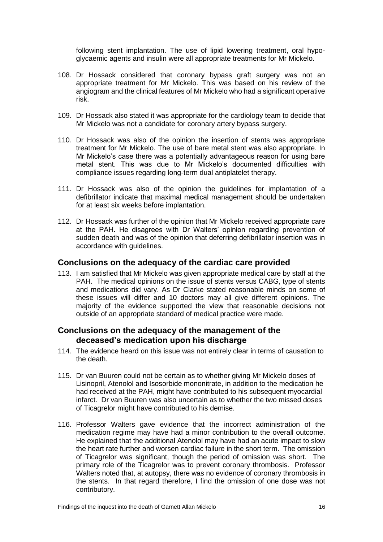following stent implantation. The use of lipid lowering treatment, oral hypoglycaemic agents and insulin were all appropriate treatments for Mr Mickelo.

- 108. Dr Hossack considered that coronary bypass graft surgery was not an appropriate treatment for Mr Mickelo. This was based on his review of the angiogram and the clinical features of Mr Mickelo who had a significant operative risk.
- 109. Dr Hossack also stated it was appropriate for the cardiology team to decide that Mr Mickelo was not a candidate for coronary artery bypass surgery.
- 110. Dr Hossack was also of the opinion the insertion of stents was appropriate treatment for Mr Mickelo. The use of bare metal stent was also appropriate. In Mr Mickelo's case there was a potentially advantageous reason for using bare metal stent. This was due to Mr Mickelo's documented difficulties with compliance issues regarding long-term dual antiplatelet therapy.
- 111. Dr Hossack was also of the opinion the guidelines for implantation of a defibrillator indicate that maximal medical management should be undertaken for at least six weeks before implantation.
- 112. Dr Hossack was further of the opinion that Mr Mickelo received appropriate care at the PAH. He disagrees with Dr Walters' opinion regarding prevention of sudden death and was of the opinion that deferring defibrillator insertion was in accordance with guidelines.

#### <span id="page-17-0"></span>**Conclusions on the adequacy of the cardiac care provided**

113. I am satisfied that Mr Mickelo was given appropriate medical care by staff at the PAH. The medical opinions on the issue of stents versus CABG, type of stents and medications did vary. As Dr Clarke stated reasonable minds on some of these issues will differ and 10 doctors may all give different opinions. The majority of the evidence supported the view that reasonable decisions not outside of an appropriate standard of medical practice were made.

#### <span id="page-17-1"></span>**Conclusions on the adequacy of the management of the deceased's medication upon his discharge**

- 114. The evidence heard on this issue was not entirely clear in terms of causation to the death.
- 115. Dr van Buuren could not be certain as to whether giving Mr Mickelo doses of Lisinopril, Atenolol and Isosorbide mononitrate, in addition to the medication he had received at the PAH, might have contributed to his subsequent myocardial infarct. Dr van Buuren was also uncertain as to whether the two missed doses of Ticagrelor might have contributed to his demise.
- 116. Professor Walters gave evidence that the incorrect administration of the medication regime may have had a minor contribution to the overall outcome. He explained that the additional Atenolol may have had an acute impact to slow the heart rate further and worsen cardiac failure in the short term. The omission of Ticagrelor was significant, though the period of omission was short. The primary role of the Ticagrelor was to prevent coronary thrombosis. Professor Walters noted that, at autopsy, there was no evidence of coronary thrombosis in the stents. In that regard therefore, I find the omission of one dose was not contributory.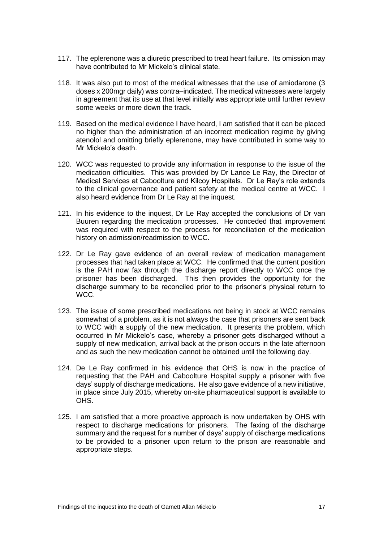- 117. The eplerenone was a diuretic prescribed to treat heart failure. Its omission may have contributed to Mr Mickelo's clinical state.
- 118. It was also put to most of the medical witnesses that the use of amiodarone (3 doses x 200mgr daily) was contra–indicated. The medical witnesses were largely in agreement that its use at that level initially was appropriate until further review some weeks or more down the track.
- 119. Based on the medical evidence I have heard, I am satisfied that it can be placed no higher than the administration of an incorrect medication regime by giving atenolol and omitting briefly eplerenone, may have contributed in some way to Mr Mickelo's death.
- 120. WCC was requested to provide any information in response to the issue of the medication difficulties. This was provided by Dr Lance Le Ray, the Director of Medical Services at Caboolture and Kilcoy Hospitals. Dr Le Ray's role extends to the clinical governance and patient safety at the medical centre at WCC. I also heard evidence from Dr Le Ray at the inquest.
- 121. In his evidence to the inquest, Dr Le Ray accepted the conclusions of Dr van Buuren regarding the medication processes. He conceded that improvement was required with respect to the process for reconciliation of the medication history on admission/readmission to WCC.
- 122. Dr Le Ray gave evidence of an overall review of medication management processes that had taken place at WCC. He confirmed that the current position is the PAH now fax through the discharge report directly to WCC once the prisoner has been discharged. This then provides the opportunity for the discharge summary to be reconciled prior to the prisoner's physical return to WCC.
- 123. The issue of some prescribed medications not being in stock at WCC remains somewhat of a problem, as it is not always the case that prisoners are sent back to WCC with a supply of the new medication. It presents the problem, which occurred in Mr Mickelo's case, whereby a prisoner gets discharged without a supply of new medication, arrival back at the prison occurs in the late afternoon and as such the new medication cannot be obtained until the following day.
- 124. De Le Ray confirmed in his evidence that OHS is now in the practice of requesting that the PAH and Caboolture Hospital supply a prisoner with five days' supply of discharge medications. He also gave evidence of a new initiative, in place since July 2015, whereby on-site pharmaceutical support is available to OHS.
- 125. I am satisfied that a more proactive approach is now undertaken by OHS with respect to discharge medications for prisoners. The faxing of the discharge summary and the request for a number of days' supply of discharge medications to be provided to a prisoner upon return to the prison are reasonable and appropriate steps.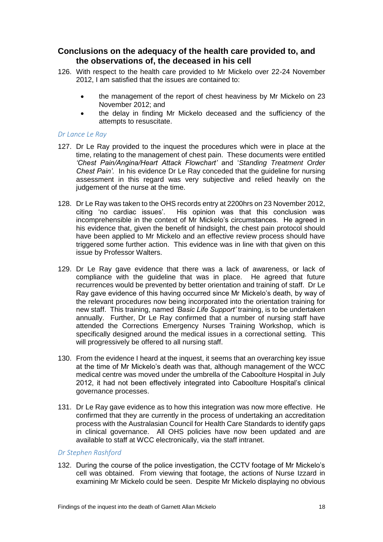#### <span id="page-19-0"></span>**Conclusions on the adequacy of the health care provided to, and the observations of, the deceased in his cell**

- 126. With respect to the health care provided to Mr Mickelo over 22-24 November 2012, I am satisfied that the issues are contained to:
	- the management of the report of chest heaviness by Mr Mickelo on 23 November 2012; and
	- the delay in finding Mr Mickelo deceased and the sufficiency of the attempts to resuscitate.

#### *Dr Lance Le Ray*

- 127. Dr Le Ray provided to the inquest the procedures which were in place at the time, relating to the management of chest pain. These documents were entitled *'Chest Pain/Angina/Heart Attack Flowchart'* and '*Standing Treatment Order Chest Pain'.* In his evidence Dr Le Ray conceded that the guideline for nursing assessment in this regard was very subjective and relied heavily on the judgement of the nurse at the time.
- 128. Dr Le Ray was taken to the OHS records entry at 2200hrs on 23 November 2012, citing 'no cardiac issues'. His opinion was that this conclusion was incomprehensible in the context of Mr Mickelo's circumstances. He agreed in his evidence that, given the benefit of hindsight, the chest pain protocol should have been applied to Mr Mickelo and an effective review process should have triggered some further action. This evidence was in line with that given on this issue by Professor Walters.
- 129. Dr Le Ray gave evidence that there was a lack of awareness, or lack of compliance with the guideline that was in place. He agreed that future recurrences would be prevented by better orientation and training of staff. Dr Le Ray gave evidence of this having occurred since Mr Mickelo's death, by way of the relevant procedures now being incorporated into the orientation training for new staff. This training, named *'Basic Life Support'* training, is to be undertaken annually. Further, Dr Le Ray confirmed that a number of nursing staff have attended the Corrections Emergency Nurses Training Workshop, which is specifically designed around the medical issues in a correctional setting. This will progressively be offered to all nursing staff.
- 130. From the evidence I heard at the inquest, it seems that an overarching key issue at the time of Mr Mickelo's death was that, although management of the WCC medical centre was moved under the umbrella of the Caboolture Hospital in July 2012, it had not been effectively integrated into Caboolture Hospital's clinical governance processes.
- 131. Dr Le Ray gave evidence as to how this integration was now more effective. He confirmed that they are currently in the process of undertaking an accreditation process with the Australasian Council for Health Care Standards to identify gaps in clinical governance. All OHS policies have now been updated and are available to staff at WCC electronically, via the staff intranet.

#### *Dr Stephen Rashford*

132. During the course of the police investigation, the CCTV footage of Mr Mickelo's cell was obtained. From viewing that footage, the actions of Nurse Izzard in examining Mr Mickelo could be seen. Despite Mr Mickelo displaying no obvious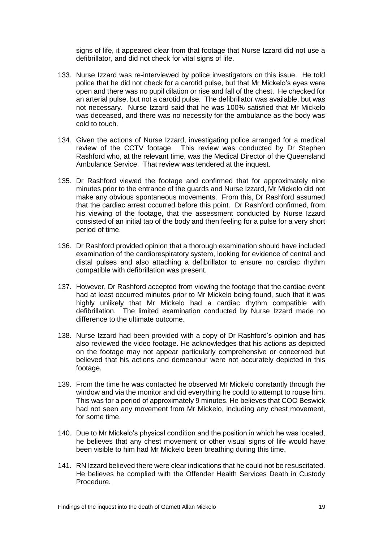signs of life, it appeared clear from that footage that Nurse Izzard did not use a defibrillator, and did not check for vital signs of life.

- 133. Nurse Izzard was re-interviewed by police investigators on this issue. He told police that he did not check for a carotid pulse, but that Mr Mickelo's eyes were open and there was no pupil dilation or rise and fall of the chest. He checked for an arterial pulse, but not a carotid pulse. The defibrillator was available, but was not necessary. Nurse Izzard said that he was 100% satisfied that Mr Mickelo was deceased, and there was no necessity for the ambulance as the body was cold to touch.
- 134. Given the actions of Nurse Izzard, investigating police arranged for a medical review of the CCTV footage. This review was conducted by Dr Stephen Rashford who, at the relevant time, was the Medical Director of the Queensland Ambulance Service. That review was tendered at the inquest.
- 135. Dr Rashford viewed the footage and confirmed that for approximately nine minutes prior to the entrance of the guards and Nurse Izzard, Mr Mickelo did not make any obvious spontaneous movements. From this, Dr Rashford assumed that the cardiac arrest occurred before this point. Dr Rashford confirmed, from his viewing of the footage, that the assessment conducted by Nurse Izzard consisted of an initial tap of the body and then feeling for a pulse for a very short period of time.
- 136. Dr Rashford provided opinion that a thorough examination should have included examination of the cardiorespiratory system, looking for evidence of central and distal pulses and also attaching a defibrillator to ensure no cardiac rhythm compatible with defibrillation was present.
- 137. However, Dr Rashford accepted from viewing the footage that the cardiac event had at least occurred minutes prior to Mr Mickelo being found, such that it was highly unlikely that Mr Mickelo had a cardiac rhythm compatible with defibrillation. The limited examination conducted by Nurse Izzard made no difference to the ultimate outcome.
- 138. Nurse Izzard had been provided with a copy of Dr Rashford's opinion and has also reviewed the video footage. He acknowledges that his actions as depicted on the footage may not appear particularly comprehensive or concerned but believed that his actions and demeanour were not accurately depicted in this footage.
- 139. From the time he was contacted he observed Mr Mickelo constantly through the window and via the monitor and did everything he could to attempt to rouse him. This was for a period of approximately 9 minutes. He believes that COO Beswick had not seen any movement from Mr Mickelo, including any chest movement, for some time.
- 140. Due to Mr Mickelo's physical condition and the position in which he was located, he believes that any chest movement or other visual signs of life would have been visible to him had Mr Mickelo been breathing during this time.
- 141. RN Izzard believed there were clear indications that he could not be resuscitated. He believes he complied with the Offender Health Services Death in Custody Procedure.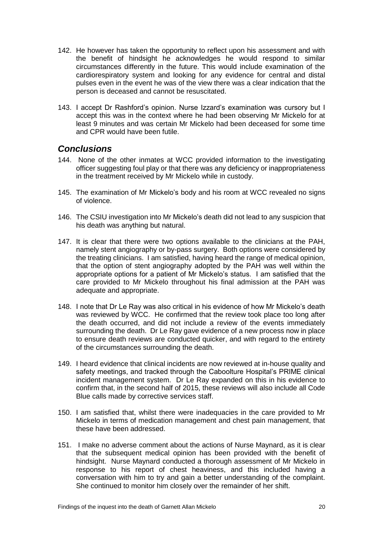- 142. He however has taken the opportunity to reflect upon his assessment and with the benefit of hindsight he acknowledges he would respond to similar circumstances differently in the future. This would include examination of the cardiorespiratory system and looking for any evidence for central and distal pulses even in the event he was of the view there was a clear indication that the person is deceased and cannot be resuscitated.
- 143. I accept Dr Rashford's opinion. Nurse Izzard's examination was cursory but I accept this was in the context where he had been observing Mr Mickelo for at least 9 minutes and was certain Mr Mickelo had been deceased for some time and CPR would have been futile.

### <span id="page-21-0"></span>*Conclusions*

- 144. None of the other inmates at WCC provided information to the investigating officer suggesting foul play or that there was any deficiency or inappropriateness in the treatment received by Mr Mickelo while in custody.
- 145. The examination of Mr Mickelo's body and his room at WCC revealed no signs of violence.
- 146. The CSIU investigation into Mr Mickelo's death did not lead to any suspicion that his death was anything but natural.
- 147. It is clear that there were two options available to the clinicians at the PAH, namely stent angiography or by-pass surgery. Both options were considered by the treating clinicians. I am satisfied, having heard the range of medical opinion, that the option of stent angiography adopted by the PAH was well within the appropriate options for a patient of Mr Mickelo's status. I am satisfied that the care provided to Mr Mickelo throughout his final admission at the PAH was adequate and appropriate.
- 148. I note that Dr Le Ray was also critical in his evidence of how Mr Mickelo's death was reviewed by WCC. He confirmed that the review took place too long after the death occurred, and did not include a review of the events immediately surrounding the death. Dr Le Ray gave evidence of a new process now in place to ensure death reviews are conducted quicker, and with regard to the entirety of the circumstances surrounding the death.
- 149. I heard evidence that clinical incidents are now reviewed at in-house quality and safety meetings, and tracked through the Caboolture Hospital's PRIME clinical incident management system. Dr Le Ray expanded on this in his evidence to confirm that, in the second half of 2015, these reviews will also include all Code Blue calls made by corrective services staff.
- 150. I am satisfied that, whilst there were inadequacies in the care provided to Mr Mickelo in terms of medication management and chest pain management, that these have been addressed.
- 151. I make no adverse comment about the actions of Nurse Maynard, as it is clear that the subsequent medical opinion has been provided with the benefit of hindsight. Nurse Maynard conducted a thorough assessment of Mr Mickelo in response to his report of chest heaviness, and this included having a conversation with him to try and gain a better understanding of the complaint. She continued to monitor him closely over the remainder of her shift.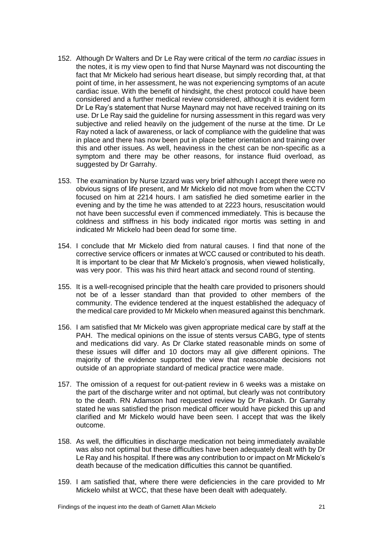- 152. Although Dr Walters and Dr Le Ray were critical of the term *no cardiac issues* in the notes, it is my view open to find that Nurse Maynard was not discounting the fact that Mr Mickelo had serious heart disease, but simply recording that, at that point of time, in her assessment, he was not experiencing symptoms of an acute cardiac issue. With the benefit of hindsight, the chest protocol could have been considered and a further medical review considered, although it is evident form Dr Le Ray's statement that Nurse Maynard may not have received training on its use. Dr Le Ray said the guideline for nursing assessment in this regard was very subjective and relied heavily on the judgement of the nurse at the time. Dr Le Ray noted a lack of awareness, or lack of compliance with the guideline that was in place and there has now been put in place better orientation and training over this and other issues. As well, heaviness in the chest can be non-specific as a symptom and there may be other reasons, for instance fluid overload, as suggested by Dr Garrahy.
- 153. The examination by Nurse Izzard was very brief although I accept there were no obvious signs of life present, and Mr Mickelo did not move from when the CCTV focused on him at 2214 hours. I am satisfied he died sometime earlier in the evening and by the time he was attended to at 2223 hours, resuscitation would not have been successful even if commenced immediately. This is because the coldness and stiffness in his body indicated rigor mortis was setting in and indicated Mr Mickelo had been dead for some time.
- 154. I conclude that Mr Mickelo died from natural causes. I find that none of the corrective service officers or inmates at WCC caused or contributed to his death. It is important to be clear that Mr Mickelo's prognosis, when viewed holistically, was very poor. This was his third heart attack and second round of stenting.
- 155. It is a well-recognised principle that the health care provided to prisoners should not be of a lesser standard than that provided to other members of the community. The evidence tendered at the inquest established the adequacy of the medical care provided to Mr Mickelo when measured against this benchmark.
- 156. I am satisfied that Mr Mickelo was given appropriate medical care by staff at the PAH. The medical opinions on the issue of stents versus CABG, type of stents and medications did vary. As Dr Clarke stated reasonable minds on some of these issues will differ and 10 doctors may all give different opinions. The majority of the evidence supported the view that reasonable decisions not outside of an appropriate standard of medical practice were made.
- 157. The omission of a request for out-patient review in 6 weeks was a mistake on the part of the discharge writer and not optimal, but clearly was not contributory to the death. RN Adamson had requested review by Dr Prakash. Dr Garrahy stated he was satisfied the prison medical officer would have picked this up and clarified and Mr Mickelo would have been seen. I accept that was the likely outcome.
- 158. As well, the difficulties in discharge medication not being immediately available was also not optimal but these difficulties have been adequately dealt with by Dr Le Ray and his hospital. If there was any contribution to or impact on Mr Mickelo's death because of the medication difficulties this cannot be quantified.
- 159. I am satisfied that, where there were deficiencies in the care provided to Mr Mickelo whilst at WCC, that these have been dealt with adequately.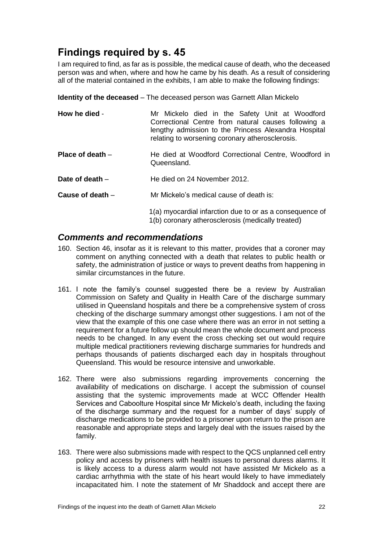## <span id="page-23-0"></span>**Findings required by s. 45**

I am required to find, as far as is possible, the medical cause of death, who the deceased person was and when, where and how he came by his death. As a result of considering all of the material contained in the exhibits, I am able to make the following findings:

<span id="page-23-1"></span>**Identity of the deceased** – The deceased person was Garnett Allan Mickelo

<span id="page-23-3"></span><span id="page-23-2"></span>

| How he died -      | Mr Mickelo died in the Safety Unit at Woodford<br>Correctional Centre from natural causes following a<br>lengthy admission to the Princess Alexandra Hospital<br>relating to worsening coronary atherosclerosis. |
|--------------------|------------------------------------------------------------------------------------------------------------------------------------------------------------------------------------------------------------------|
| Place of death $-$ | He died at Woodford Correctional Centre, Woodford in<br>Queensland.                                                                                                                                              |
| Date of death $-$  | He died on 24 November 2012.                                                                                                                                                                                     |
| Cause of death -   | Mr Mickelo's medical cause of death is:                                                                                                                                                                          |
|                    | 1(a) myocardial infarction due to or as a consequence of<br>1(b) coronary atherosclerosis (medically treated)                                                                                                    |

### <span id="page-23-6"></span><span id="page-23-5"></span><span id="page-23-4"></span>*Comments and recommendations*

- 160. Section 46, insofar as it is relevant to this matter, provides that a coroner may comment on anything connected with a death that relates to public health or safety, the administration of justice or ways to prevent deaths from happening in similar circumstances in the future.
- 161. I note the family's counsel suggested there be a review by Australian Commission on Safety and Quality in Health Care of the discharge summary utilised in Queensland hospitals and there be a comprehensive system of cross checking of the discharge summary amongst other suggestions. I am not of the view that the example of this one case where there was an error in not setting a requirement for a future follow up should mean the whole document and process needs to be changed. In any event the cross checking set out would require multiple medical practitioners reviewing discharge summaries for hundreds and perhaps thousands of patients discharged each day in hospitals throughout Queensland. This would be resource intensive and unworkable.
- 162. There were also submissions regarding improvements concerning the availability of medications on discharge. I accept the submission of counsel assisting that the systemic improvements made at WCC Offender Health Services and Caboolture Hospital since Mr Mickelo's death, including the faxing of the discharge summary and the request for a number of days' supply of discharge medications to be provided to a prisoner upon return to the prison are reasonable and appropriate steps and largely deal with the issues raised by the family.
- 163. There were also submissions made with respect to the QCS unplanned cell entry policy and access by prisoners with health issues to personal duress alarms. It is likely access to a duress alarm would not have assisted Mr Mickelo as a cardiac arrhythmia with the state of his heart would likely to have immediately incapacitated him. I note the statement of Mr Shaddock and accept there are